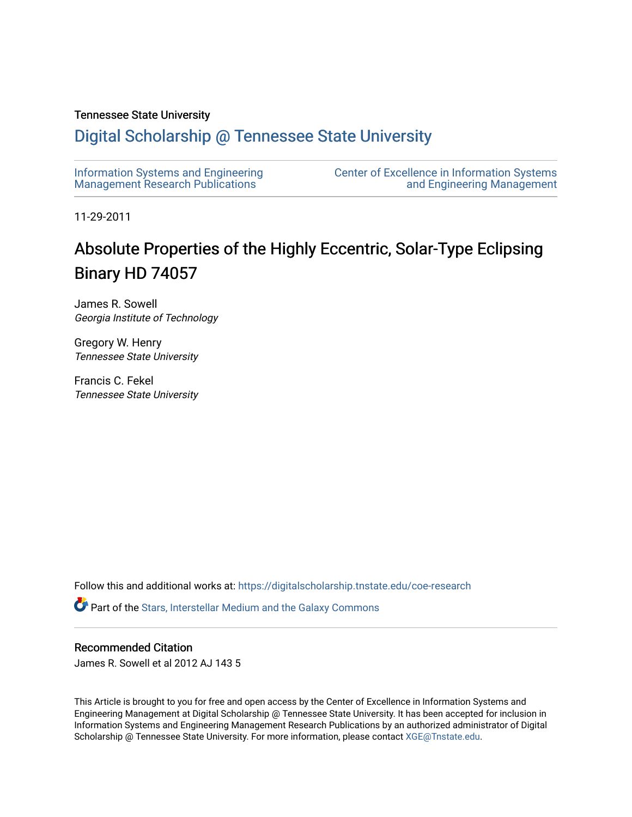# Tennessee State University

# [Digital Scholarship @ Tennessee State University](https://digitalscholarship.tnstate.edu/)

| Information Systems and Engineering | <b>Center of Excellence in Information Systems</b> |
|-------------------------------------|----------------------------------------------------|
| Management Research Publications    | and Engineering Management                         |

11-29-2011

# Absolute Properties of the Highly Eccentric, Solar-Type Eclipsing Binary HD 74057

James R. Sowell Georgia Institute of Technology

Gregory W. Henry Tennessee State University

Francis C. Fekel Tennessee State University

Follow this and additional works at: [https://digitalscholarship.tnstate.edu/coe-research](https://digitalscholarship.tnstate.edu/coe-research?utm_source=digitalscholarship.tnstate.edu%2Fcoe-research%2F297&utm_medium=PDF&utm_campaign=PDFCoverPages) 

Part of the [Stars, Interstellar Medium and the Galaxy Commons](http://network.bepress.com/hgg/discipline/127?utm_source=digitalscholarship.tnstate.edu%2Fcoe-research%2F297&utm_medium=PDF&utm_campaign=PDFCoverPages) 

## Recommended Citation

James R. Sowell et al 2012 AJ 143 5

This Article is brought to you for free and open access by the Center of Excellence in Information Systems and Engineering Management at Digital Scholarship @ Tennessee State University. It has been accepted for inclusion in Information Systems and Engineering Management Research Publications by an authorized administrator of Digital Scholarship @ Tennessee State University. For more information, please contact [XGE@Tnstate.edu](mailto:XGE@Tnstate.edu).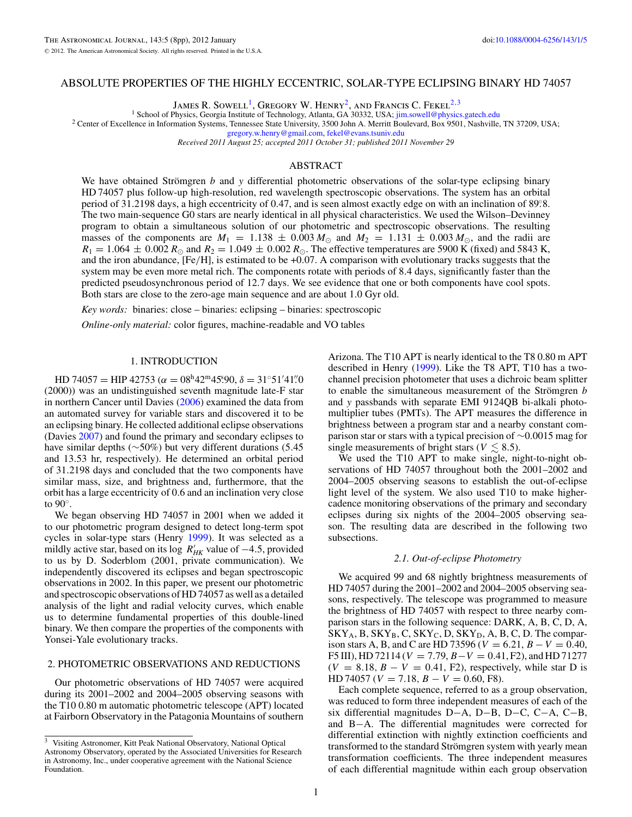#### ABSOLUTE PROPERTIES OF THE HIGHLY ECCENTRIC, SOLAR-TYPE ECLIPSING BINARY HD 74057

JAMES R. SOWELL<sup>1</sup>, GREGORY W. HENRY<sup>2</sup>, AND FRANCIS C. FEKEL<sup>2,3</sup><br><sup>1</sup> School of Physics, Georgia Institute of Technology, Atlanta, GA 30332, USA; jim.sowell@physics.gatech.edu

<sup>2</sup> Center of Excellence in Information Systems, Tennessee State University, 3500 John A. Merritt Boulevard, Box 9501, Nashville, TN 37209, USA;

[gregory.w.henry@gmail.com,](mailto:gregory.w.henry@gmail.com) [fekel@evans.tsuniv.edu](mailto:fekel@evans.tsuniv.edu)

*Received 2011 August 25; accepted 2011 October 31; published 2011 November 29*

#### ABSTRACT

We have obtained Strömgren  $b$  and  $y$  differential photometric observations of the solar-type eclipsing binary HD 74057 plus follow-up high-resolution, red wavelength spectroscopic observations. The system has an orbital period of 31*.*2198 days, a high eccentricity of 0*.*47, and is seen almost exactly edge on with an inclination of 89*.* ◦8. The two main-sequence G0 stars are nearly identical in all physical characteristics. We used the Wilson–Devinney program to obtain a simultaneous solution of our photometric and spectroscopic observations. The resulting masses of the components are  $M_1 = 1.138 \pm 0.003 M_{\odot}$  and  $M_2 = 1.131 \pm 0.003 M_{\odot}$ , and the radii are  $R_1 = 1.064 \pm 0.002 R_{\odot}$  and  $R_2 = 1.049 \pm 0.002 R_{\odot}$ . The effective temperatures are 5900 K (fixed) and 5843 K, and the iron abundance, [Fe*/*H], is estimated to be +0*.*07. A comparison with evolutionary tracks suggests that the system may be even more metal rich. The components rotate with periods of 8*.*4 days, significantly faster than the predicted pseudosynchronous period of 12*.*7 days. We see evidence that one or both components have cool spots. Both stars are close to the zero-age main sequence and are about 1*.*0 Gyr old.

*Key words:* binaries: close – binaries: eclipsing – binaries: spectroscopic

*Online-only material:* color figures, machine-readable and VO tables

#### 1. INTRODUCTION

HD 74057 = HIP 42753 ( $\alpha = 08^{\text{h}}42^{\text{m}}45^{\text{s}}90$ ,  $\delta = 31°51'41''0$ (2000)) was an undistinguished seventh magnitude late-F star in northern Cancer until Davies [\(2006\)](#page-7-0) examined the data from an automated survey for variable stars and discovered it to be an eclipsing binary. He collected additional eclipse observations (Davies [2007\)](#page-7-0) and found the primary and secondary eclipses to have similar depths (∼50%) but very different durations (5*.*45 and 13*.*53 hr, respectively). He determined an orbital period of 31*.*2198 days and concluded that the two components have similar mass, size, and brightness and, furthermore, that the orbit has a large eccentricity of 0*.*6 and an inclination very close to 90◦.

We began observing HD 74057 in 2001 when we added it to our photometric program designed to detect long-term spot cycles in solar-type stars (Henry [1999\)](#page-7-0). It was selected as a mildly active star, based on its log  $R'_{HK}$  value of  $-4.5$ , provided to us by D. Soderblom (2001, private communication). We independently discovered its eclipses and began spectroscopic observations in 2002. In this paper, we present our photometric and spectroscopic observations of HD 74057 as well as a detailed analysis of the light and radial velocity curves, which enable us to determine fundamental properties of this double-lined binary. We then compare the properties of the components with Yonsei-Yale evolutionary tracks.

#### 2. PHOTOMETRIC OBSERVATIONS AND REDUCTIONS

Our photometric observations of HD 74057 were acquired during its 2001–2002 and 2004–2005 observing seasons with the T10 0.80 m automatic photometric telescope (APT) located at Fairborn Observatory in the Patagonia Mountains of southern Arizona. The T10 APT is nearly identical to the T8 0.80 m APT described in Henry [\(1999\)](#page-7-0). Like the T8 APT, T10 has a twochannel precision photometer that uses a dichroic beam splitter to enable the simultaneous measurement of the Strömgren *b* and *y* passbands with separate EMI 9124QB bi-alkali photomultiplier tubes (PMTs). The APT measures the difference in brightness between a program star and a nearby constant comparison star or stars with a typical precision of ∼0*.*0015 mag for single measurements of bright stars ( $V \lesssim 8.5$ ).

We used the T10 APT to make single, night-to-night observations of HD 74057 throughout both the 2001–2002 and 2004–2005 observing seasons to establish the out-of-eclipse light level of the system. We also used T10 to make highercadence monitoring observations of the primary and secondary eclipses during six nights of the 2004–2005 observing season. The resulting data are described in the following two subsections.

#### *2.1. Out-of-eclipse Photometry*

We acquired 99 and 68 nightly brightness measurements of HD 74057 during the 2001–2002 and 2004–2005 observing seasons, respectively. The telescope was programmed to measure the brightness of HD 74057 with respect to three nearby comparison stars in the following sequence: DARK, A, B, C, D, A,  $SKY_A$ , B,  $SKY_B$ , C,  $SKY_C$ , D,  $SKY_D$ , A, B, C, D. The comparison stars A, B, and C are HD 73596 ( $V = 6.21$ ,  $B - V = 0.40$ ,  $F5$  III), HD 72114 (*V* = 7.79,  $B-V = 0.41$ , F2), and HD 71277  $(V = 8.18, B - V = 0.41, F2)$ , respectively, while star D is  $HD 74057 (V = 7.18, B - V = 0.60, F8).$ 

Each complete sequence, referred to as a group observation, was reduced to form three independent measures of each of the six differential magnitudes D−A, D−B, D−C, C−A, C−B, and B−A. The differential magnitudes were corrected for differential extinction with nightly extinction coefficients and transformed to the standard Strömgren system with yearly mean transformation coefficients. The three independent measures of each differential magnitude within each group observation

<sup>3</sup> Visiting Astronomer, Kitt Peak National Observatory, National Optical Astronomy Observatory, operated by the Associated Universities for Research in Astronomy, Inc., under cooperative agreement with the National Science Foundation.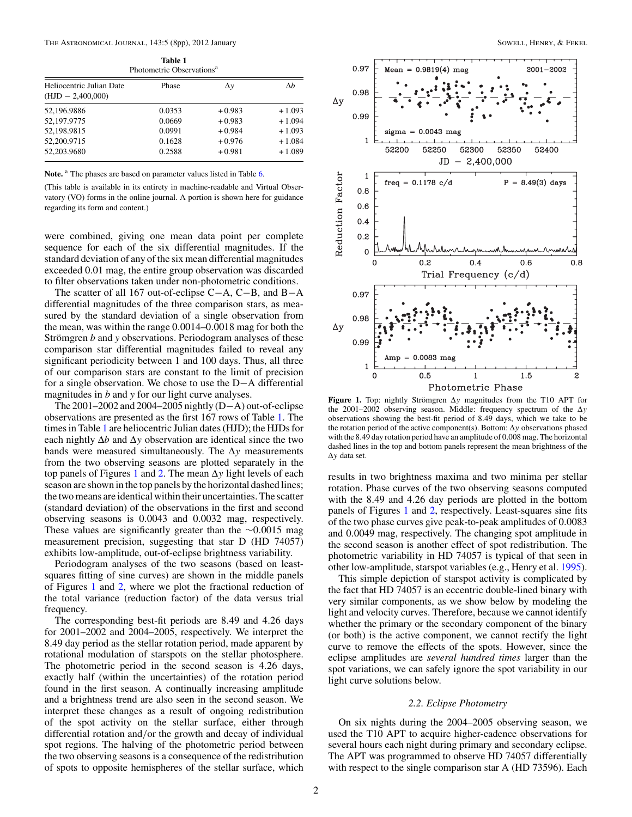<span id="page-2-0"></span>The Astronomical Journal, 143:5 (8pp), 2012 January Sowell, Henry, & Fekel Sowell, Henry, & Fekel

| <b>Table 1</b><br>Photometric Observations <sup>a</sup> |       |    |  |
|---------------------------------------------------------|-------|----|--|
| Heliocentric Julian Date                                | Phase | Δν |  |

| пеносените линан Date<br>$(HJD - 2,400,000)$ | rnase  | $\Delta V$ | $\Delta D$ |
|----------------------------------------------|--------|------------|------------|
| 52,196.9886                                  | 0.0353 | $+0.983$   | $+1.093$   |
| 52,197.9775                                  | 0.0669 | $+0.983$   | $+1.094$   |
| 52.198.9815                                  | 0.0991 | $+0.984$   | $+1.093$   |
| 52,200.9715                                  | 0.1628 | $+0.976$   | $+1.084$   |
| 52.203.9680                                  | 0.2588 | $+0.981$   | $+1.089$   |
|                                              |        |            |            |

Note.<sup>a</sup> The phases are based on parameter values listed in Table [6.](#page-5-0)

(This table is available in its entirety in machine-readable and Virtual Observatory (VO) forms in the online journal. A portion is shown here for guidance regarding its form and content.)

were combined, giving one mean data point per complete sequence for each of the six differential magnitudes. If the standard deviation of any of the six mean differential magnitudes exceeded 0*.*01 mag, the entire group observation was discarded to filter observations taken under non-photometric conditions.

The scatter of all 167 out-of-eclipse C−A, C−B, and B−A differential magnitudes of the three comparison stars, as measured by the standard deviation of a single observation from the mean, was within the range 0*.*0014–0*.*0018 mag for both the Strömgren *b* and *y* observations. Periodogram analyses of these comparison star differential magnitudes failed to reveal any significant periodicity between 1 and 100 days. Thus, all three of our comparison stars are constant to the limit of precision for a single observation. We chose to use the D−A differential magnitudes in *b* and *y* for our light curve analyses.

The 2001–2002 and 2004–2005 nightly (D−A) out-of-eclipse observations are presented as the first 167 rows of Table 1. The times in Table 1 are heliocentric Julian dates (HJD); the HJDs for each nightly  $\Delta b$  and  $\Delta y$  observation are identical since the two bands were measured simultaneously. The Δ*y* measurements from the two observing seasons are plotted separately in the top panels of Figures 1 and [2.](#page-3-0) The mean Δ*y* light levels of each season are shown in the top panels by the horizontal dashed lines; the two means are identical within their uncertainties. The scatter (standard deviation) of the observations in the first and second observing seasons is 0*.*0043 and 0*.*0032 mag, respectively. These values are significantly greater than the ∼0*.*0015 mag measurement precision, suggesting that star D (HD 74057) exhibits low-amplitude, out-of-eclipse brightness variability.

Periodogram analyses of the two seasons (based on leastsquares fitting of sine curves) are shown in the middle panels of Figures 1 and [2,](#page-3-0) where we plot the fractional reduction of the total variance (reduction factor) of the data versus trial frequency.

The corresponding best-fit periods are 8*.*49 and 4*.*26 days for 2001–2002 and 2004–2005, respectively. We interpret the 8*.*49 day period as the stellar rotation period, made apparent by rotational modulation of starspots on the stellar photosphere. The photometric period in the second season is 4*.*26 days, exactly half (within the uncertainties) of the rotation period found in the first season. A continually increasing amplitude and a brightness trend are also seen in the second season. We interpret these changes as a result of ongoing redistribution of the spot activity on the stellar surface, either through differential rotation and*/*or the growth and decay of individual spot regions. The halving of the photometric period between the two observing seasons is a consequence of the redistribution of spots to opposite hemispheres of the stellar surface, which



**Figure 1.** Top: nightly Strömgren  $\Delta y$  magnitudes from the T10 APT for the 2001–2002 observing season. Middle: frequency spectrum of the Δ*y* observations showing the best-fit period of 8*.*49 days, which we take to be the rotation period of the active component(s). Bottom: Δ*y* observations phased with the 8*.*49 day rotation period have an amplitude of 0*.*008 mag. The horizontal dashed lines in the top and bottom panels represent the mean brightness of the Δ*y* data set.

results in two brightness maxima and two minima per stellar rotation. Phase curves of the two observing seasons computed with the 8*.*49 and 4*.*26 day periods are plotted in the bottom panels of Figures 1 and [2,](#page-3-0) respectively. Least-squares sine fits of the two phase curves give peak-to-peak amplitudes of 0*.*0083 and 0*.*0049 mag, respectively. The changing spot amplitude in the second season is another effect of spot redistribution. The photometric variability in HD 74057 is typical of that seen in other low-amplitude, starspot variables (e.g., Henry et al. [1995\)](#page-7-0).

This simple depiction of starspot activity is complicated by the fact that HD 74057 is an eccentric double-lined binary with very similar components, as we show below by modeling the light and velocity curves. Therefore, because we cannot identify whether the primary or the secondary component of the binary (or both) is the active component, we cannot rectify the light curve to remove the effects of the spots. However, since the eclipse amplitudes are *several hundred times* larger than the spot variations, we can safely ignore the spot variability in our light curve solutions below.

#### *2.2. Eclipse Photometry*

On six nights during the 2004–2005 observing season, we used the T10 APT to acquire higher-cadence observations for several hours each night during primary and secondary eclipse. The APT was programmed to observe HD 74057 differentially with respect to the single comparison star A (HD 73596). Each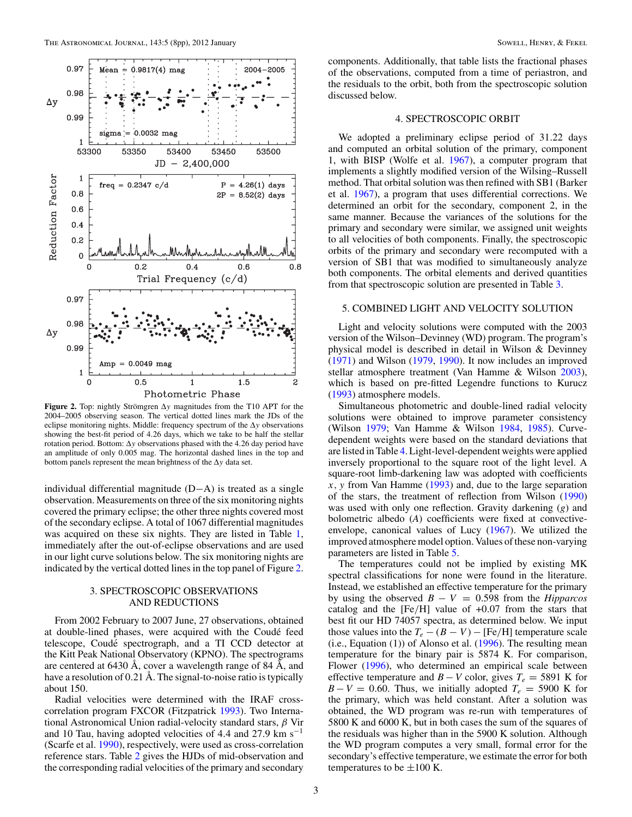<span id="page-3-0"></span>

**Figure 2.** Top: nightly Strömgren  $\Delta y$  magnitudes from the T10 APT for the 2004–2005 observing season. The vertical dotted lines mark the JDs of the eclipse monitoring nights. Middle: frequency spectrum of the Δ*y* observations showing the best-fit period of 4*.*26 days, which we take to be half the stellar rotation period. Bottom: Δ*y* observations phased with the 4*.*26 day period have an amplitude of only 0*.*005 mag. The horizontal dashed lines in the top and bottom panels represent the mean brightness of the Δ*y* data set.

individual differential magnitude (D−A) is treated as a single observation. Measurements on three of the six monitoring nights covered the primary eclipse; the other three nights covered most of the secondary eclipse. A total of 1067 differential magnitudes was acquired on these six nights. They are listed in Table [1,](#page-2-0) immediately after the out-of-eclipse observations and are used in our light curve solutions below. The six monitoring nights are indicated by the vertical dotted lines in the top panel of Figure 2.

#### 3. SPECTROSCOPIC OBSERVATIONS AND REDUCTIONS

From 2002 February to 2007 June, 27 observations, obtained at double-lined phases, were acquired with the Coudé feed telescope, Coudé spectrograph, and a TI CCD detector at the Kitt Peak National Observatory (KPNO). The spectrograms are centered at 6430 Å, cover a wavelength range of 84 Å, and have a resolution of 0*.*21 Å. The signal-to-noise ratio is typically about 150.

Radial velocities were determined with the IRAF crosscorrelation program FXCOR (Fitzpatrick [1993\)](#page-7-0). Two International Astronomical Union radial-velocity standard stars, *β* Vir and 10 Tau, having adopted velocities of 4*.*4 and 27*.*9 km s−<sup>1</sup> (Scarfe et al. [1990\)](#page-7-0), respectively, were used as cross-correlation reference stars. Table [2](#page-4-0) gives the HJDs of mid-observation and the corresponding radial velocities of the primary and secondary components. Additionally, that table lists the fractional phases of the observations, computed from a time of periastron, and the residuals to the orbit, both from the spectroscopic solution discussed below.

#### 4. SPECTROSCOPIC ORBIT

We adopted a preliminary eclipse period of 31*.*22 days and computed an orbital solution of the primary, component 1, with BISP (Wolfe et al. [1967\)](#page-8-0), a computer program that implements a slightly modified version of the Wilsing–Russell method. That orbital solution was then refined with SB1 (Barker et al. [1967\)](#page-7-0), a program that uses differential corrections. We determined an orbit for the secondary, component 2, in the same manner. Because the variances of the solutions for the primary and secondary were similar, we assigned unit weights to all velocities of both components. Finally, the spectroscopic orbits of the primary and secondary were recomputed with a version of SB1 that was modified to simultaneously analyze both components. The orbital elements and derived quantities from that spectroscopic solution are presented in Table [3.](#page-4-0)

#### 5. COMBINED LIGHT AND VELOCITY SOLUTION

Light and velocity solutions were computed with the 2003 version of the Wilson–Devinney (WD) program. The program's physical model is described in detail in Wilson & Devinney [\(1971\)](#page-8-0) and Wilson [\(1979,](#page-8-0) [1990\)](#page-8-0). It now includes an improved stellar atmosphere treatment (Van Hamme & Wilson [2003\)](#page-8-0), which is based on pre-fitted Legendre functions to Kurucz [\(1993\)](#page-7-0) atmosphere models.

Simultaneous photometric and double-lined radial velocity solutions were obtained to improve parameter consistency (Wilson [1979;](#page-8-0) Van Hamme & Wilson [1984,](#page-7-0) [1985\)](#page-8-0). Curvedependent weights were based on the standard deviations that are listed in Table [4.](#page-4-0) Light-level-dependent weights were applied inversely proportional to the square root of the light level. A square-root limb-darkening law was adopted with coefficients *x, y* from Van Hamme [\(1993\)](#page-7-0) and, due to the large separation of the stars, the treatment of reflection from Wilson [\(1990\)](#page-8-0) was used with only one reflection. Gravity darkening (*g*) and bolometric albedo (*A*) coefficients were fixed at convectiveenvelope, canonical values of Lucy [\(1967\)](#page-7-0). We utilized the improved atmosphere model option. Values of these non-varying parameters are listed in Table [5.](#page-4-0)

The temperatures could not be implied by existing MK spectral classifications for none were found in the literature. Instead, we established an effective temperature for the primary by using the observed  $B - V = 0.598$  from the *Hipparcos* catalog and the [Fe*/*H] value of +0*.*07 from the stars that best fit our HD 74057 spectra, as determined below. We input those values into the  $T_e - (B - V) - [Fe/H]$  temperature scale  $(i.e., Equation (1))$  of Alonso et al.  $(1996)$ . The resulting mean temperature for the binary pair is 5874 K. For comparison, Flower [\(1996\)](#page-7-0), who determined an empirical scale between effective temperature and *B* − *V* color, gives  $T_e$  = 5891 K for  $B - V = 0.60$ . Thus, we initially adopted  $T_e = 5900$  K for the primary, which was held constant. After a solution was obtained, the WD program was re-run with temperatures of 5800 K and 6000 K, but in both cases the sum of the squares of the residuals was higher than in the 5900 K solution. Although the WD program computes a very small, formal error for the secondary's effective temperature, we estimate the error for both temperatures to be  $\pm 100$  K.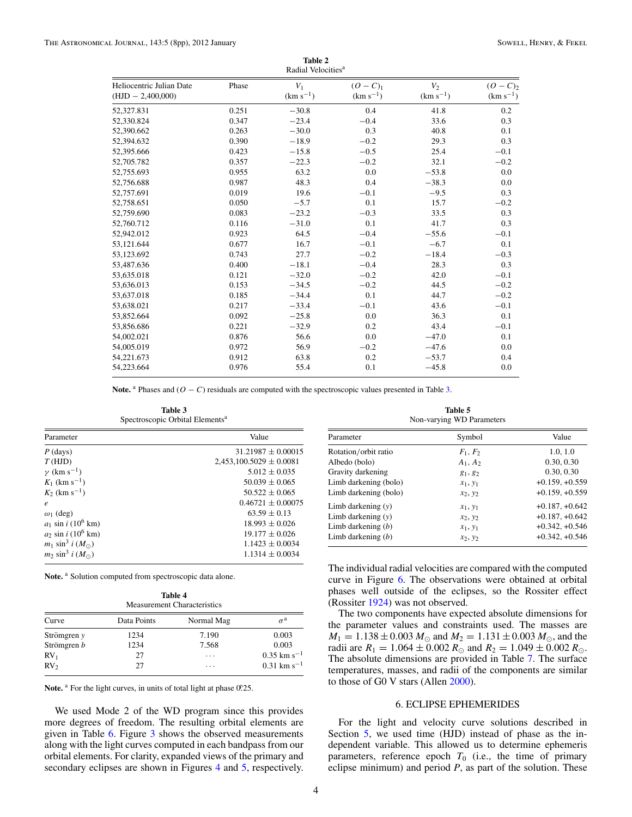<span id="page-4-0"></span>

| Radial Velocities <sup>a</sup>                  |       |                        |                                |                        |                             |
|-------------------------------------------------|-------|------------------------|--------------------------------|------------------------|-----------------------------|
| Heliocentric Julian Date<br>$(HJD - 2,400,000)$ | Phase | $V_1$<br>$(km s^{-1})$ | $(O - C)_{1}$<br>$(km s^{-1})$ | $V_2$<br>$(km s^{-1})$ | $(O - C)2$<br>$(km s^{-1})$ |
| 52,327.831                                      | 0.251 | $-30.8$                | 0.4                            | 41.8                   | 0.2                         |
| 52,330.824                                      | 0.347 | $-23.4$                | $-0.4$                         | 33.6                   | 0.3                         |
| 52,390.662                                      | 0.263 | $-30.0$                | 0.3                            | 40.8                   | 0.1                         |
| 52,394.632                                      | 0.390 | $-18.9$                | $-0.2$                         | 29.3                   | 0.3                         |
| 52,395.666                                      | 0.423 | $-15.8$                | $-0.5$                         | 25.4                   | $-0.1$                      |
| 52,705.782                                      | 0.357 | $-22.3$                | $-0.2$                         | 32.1                   | $-0.2$                      |
| 52,755.693                                      | 0.955 | 63.2                   | 0.0                            | $-53.8$                | 0.0                         |
| 52,756.688                                      | 0.987 | 48.3                   | 0.4                            | $-38.3$                | 0.0                         |
| 52,757.691                                      | 0.019 | 19.6                   | $-0.1$                         | $-9.5$                 | 0.3                         |
| 52,758.651                                      | 0.050 | $-5.7$                 | 0.1                            | 15.7                   | $-0.2$                      |
| 52,759.690                                      | 0.083 | $-23.2$                | $-0.3$                         | 33.5                   | 0.3                         |
| 52,760.712                                      | 0.116 | $-31.0$                | 0.1                            | 41.7                   | 0.3                         |
| 52,942.012                                      | 0.923 | 64.5                   | $-0.4$                         | $-55.6$                | $-0.1$                      |
| 53,121.644                                      | 0.677 | 16.7                   | $-0.1$                         | $-6.7$                 | 0.1                         |
| 53,123.692                                      | 0.743 | 27.7                   | $-0.2$                         | $-18.4$                | $-0.3$                      |
| 53,487.636                                      | 0.400 | $-18.1$                | $-0.4$                         | 28.3                   | 0.3                         |
| 53,635.018                                      | 0.121 | $-32.0$                | $-0.2$                         | 42.0                   | $-0.1$                      |
| 53,636.013                                      | 0.153 | $-34.5$                | $-0.2$                         | 44.5                   | $-0.2$                      |
| 53,637.018                                      | 0.185 | $-34.4$                | 0.1                            | 44.7                   | $-0.2$                      |
| 53,638.021                                      | 0.217 | $-33.4$                | $-0.1$                         | 43.6                   | $-0.1$                      |
| 53,852.664                                      | 0.092 | $-25.8$                | 0.0                            | 36.3                   | 0.1                         |
| 53,856.686                                      | 0.221 | $-32.9$                | 0.2                            | 43.4                   | $-0.1$                      |
| 54,002.021                                      | 0.876 | 56.6                   | 0.0                            | $-47.0$                | 0.1                         |
| 54,005.019                                      | 0.972 | 56.9                   | $-0.2$                         | $-47.6$                | 0.0                         |
| 54,221.673                                      | 0.912 | 63.8                   | 0.2                            | $-53.7$                | 0.4                         |
| 54,223.664                                      | 0.976 | 55.4                   | 0.1                            | $-45.8$                | 0.0                         |

**Table 2**

**Note.** <sup>a</sup> Phases and  $(O - C)$  residuals are computed with the spectroscopic values presented in Table 3.

**Table 3** Spectroscopic Orbital Elements<sup>a</sup>

| Parameter                        | Value                       |  |
|----------------------------------|-----------------------------|--|
| $P$ (days)                       | $31.21987 \pm 0.00015$      |  |
| T(HJD)                           | $2,453,100.5029 \pm 0.0081$ |  |
| $\nu$ (km s <sup>-1</sup> )      | $5.012 \pm 0.035$           |  |
| $K_1$ (km s <sup>-1</sup> )      | $50.039 + 0.065$            |  |
| $K_2$ (km s <sup>-1</sup> )      | $50.522 + 0.065$            |  |
| $\boldsymbol{e}$                 | $0.46721 + 0.00075$         |  |
| $\omega_1$ (deg)                 | $63.59 \pm 0.13$            |  |
| $a_1 \sin i (10^6 \text{ km})$   | $18.993 + 0.026$            |  |
| $a_2$ sin i (10 <sup>6</sup> km) | $19.177 + 0.026$            |  |
| $m_1 \sin^3 i (M_{\odot})$       | $1.1423 \pm 0.0034$         |  |
| $m_2 \sin^3 i (M_{\odot})$       | $1.1314 + 0.0034$           |  |

Note.<sup>a</sup> Solution computed from spectroscopic data alone.

| <b>Measurement Characteristics</b> |             |            |                           |
|------------------------------------|-------------|------------|---------------------------|
| Curve                              | Data Points | Normal Mag | $\sigma^{\rm a}$          |
| Strömgren $y$                      | 1234        | 7.190      | 0.003                     |
| Strömgren b                        | 1234        | 7.568      | 0.003                     |
| $RV_1$                             | 27          | .          | $0.35$ km s <sup>-1</sup> |
| RV <sub>2</sub>                    | 27          | .          | $0.31 \text{ km s}^{-1}$  |

Note. <sup>a</sup> For the light curves, in units of total light at phase 0.25.

We used Mode 2 of the WD program since this provides more degrees of freedom. The resulting orbital elements are given in Table [6.](#page-5-0) Figure [3](#page-5-0) shows the observed measurements along with the light curves computed in each bandpass from our orbital elements. For clarity, expanded views of the primary and secondary eclipses are shown in Figures [4](#page-5-0) and [5,](#page-5-0) respectively.

**Table 5** Non-varying WD Parameters

| Parameter             | Symbol     | Value            |
|-----------------------|------------|------------------|
| Rotation/orbit ratio  | $F_1, F_2$ | 1.0, 1.0         |
| Albedo (bolo)         | $A_1, A_2$ | 0.30, 0.30       |
| Gravity darkening     | $g_1, g_2$ | 0.30, 0.30       |
| Limb darkening (bolo) | $x_1, y_1$ | $+0.159, +0.559$ |
| Limb darkening (bolo) | $x_2, y_2$ | $+0.159, +0.559$ |
| Limb darkening $(y)$  | $x_1, y_1$ | $+0.187, +0.642$ |
| Limb darkening $(v)$  | $x_2, y_2$ | $+0.187, +0.642$ |
| Limb darkening $(b)$  | $x_1, y_1$ | $+0.342, +0.546$ |
| Limb darkening $(b)$  | $x_2, y_2$ | $+0.342, +0.546$ |

The individual radial velocities are compared with the computed curve in Figure [6.](#page-5-0) The observations were obtained at orbital phases well outside of the eclipses, so the Rossiter effect (Rossiter [1924\)](#page-7-0) was not observed.

The two components have expected absolute dimensions for the parameter values and constraints used. The masses are  $M_1 = 1.138 \pm 0.003 M_{\odot}$  and  $M_2 = 1.131 \pm 0.003 M_{\odot}$ , and the radii are  $R_1 = 1.064 \pm 0.002 R_{\odot}$  and  $R_2 = 1.049 \pm 0.002 R_{\odot}$ . The absolute dimensions are provided in Table [7.](#page-6-0) The surface temperatures, masses, and radii of the components are similar to those of G0 V stars (Allen [2000\)](#page-7-0).

#### 6. ECLIPSE EPHEMERIDES

For the light and velocity curve solutions described in Section [5,](#page-3-0) we used time (HJD) instead of phase as the independent variable. This allowed us to determine ephemeris parameters, reference epoch  $T_0$  (i.e., the time of primary eclipse minimum) and period *P*, as part of the solution. These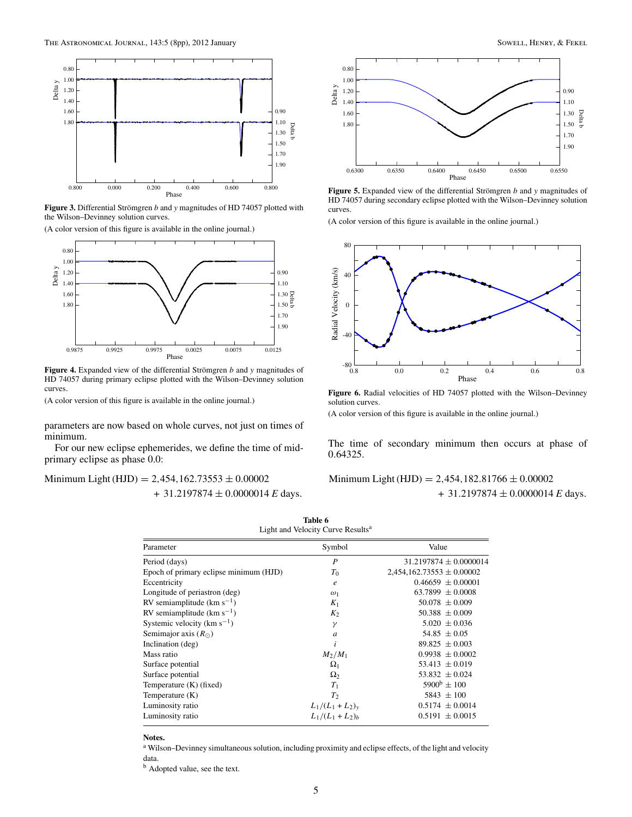<span id="page-5-0"></span>

**Figure 3.** Differential Strömgren b and y magnitudes of HD 74057 plotted with the Wilson–Devinney solution curves.

(A color version of this figure is available in the online journal.)



Figure 4. Expanded view of the differential Strömgren b and y magnitudes of HD 74057 during primary eclipse plotted with the Wilson–Devinney solution curves.

(A color version of this figure is available in the online journal.)

parameters are now based on whole curves, not just on times of minimum.

For our new eclipse ephemerides, we define the time of midprimary eclipse as phase 0.0:

Minimum Light (HJD) = 2*,*454*,*162*.*73553 ± 0*.*00002 + 31*.*2197874 ± 0*.*0000014 *E* days*.*



**Figure 5.** Expanded view of the differential Strömgren *b* and *y* magnitudes of HD 74057 during secondary eclipse plotted with the Wilson–Devinney solution curves.

(A color version of this figure is available in the online journal.)



**Figure 6.** Radial velocities of HD 74057 plotted with the Wilson–Devinney solution curves.

(A color version of this figure is available in the online journal.)

The time of secondary minimum then occurs at phase of 0*.*64325.

## Minimum Light (HJD) = 2*,*454*,*182*.*81766 ± 0*.*00002 + 31*.*2197874 ± 0*.*0000014 *E* days*.*

| Table 6<br>Light and Velocity Curve Results <sup>a</sup> |                   |                               |  |
|----------------------------------------------------------|-------------------|-------------------------------|--|
| Parameter                                                | Symbol            | Value                         |  |
| Period (days)                                            | P                 | $31.2197874 \pm 0.0000014$    |  |
| Epoch of primary eclipse minimum (HJD)                   | $T_0$             | $2,454,162.73553 \pm 0.00002$ |  |
| Eccentricity                                             | $\boldsymbol{e}$  | $0.46659 + 0.00001$           |  |
| Longitude of periastron (deg)                            | $\omega_1$        | $63.7899 \pm 0.0008$          |  |
| RV semiamplitude $(km s^{-1})$                           | $K_1$             | $50.078 \pm 0.009$            |  |
| RV semiamplitude $(km s^{-1})$                           | $K_2$             | $50.388 \pm 0.009$            |  |
| Systemic velocity ( $\rm km\;s^{-1}$ )                   | $\gamma$          | $5.020 \pm 0.036$             |  |
| Semimajor axis $(R_{\odot})$                             | $\overline{a}$    | 54.85 $\pm$ 0.05              |  |
| Inclination (deg)                                        | i                 | $89.825 \pm 0.003$            |  |
| Mass ratio                                               | $M_2/M_1$         | $0.9938 \pm 0.0002$           |  |
| Surface potential                                        | $\Omega_1$        | $53.413 \pm 0.019$            |  |
| Surface potential                                        | $\Omega_2$        | $53.832 \pm 0.024$            |  |
| Temperature (K) (fixed)                                  | $T_1$             | $5900^{\rm b} \pm 100$        |  |
| Temperature $(K)$                                        | T <sub>2</sub>    | $5843 \pm 100$                |  |
| Luminosity ratio                                         | $L_1/(L_1+L_2)_v$ | $0.5174 \pm 0.0014$           |  |
| Luminosity ratio                                         | $L_1/(L_1+L_2)_h$ | $0.5191 \pm 0.0015$           |  |

**Notes.**

<sup>a</sup> Wilson–Devinney simultaneous solution, including proximity and eclipse effects, of the light and velocity data.

<sup>b</sup> Adopted value, see the text.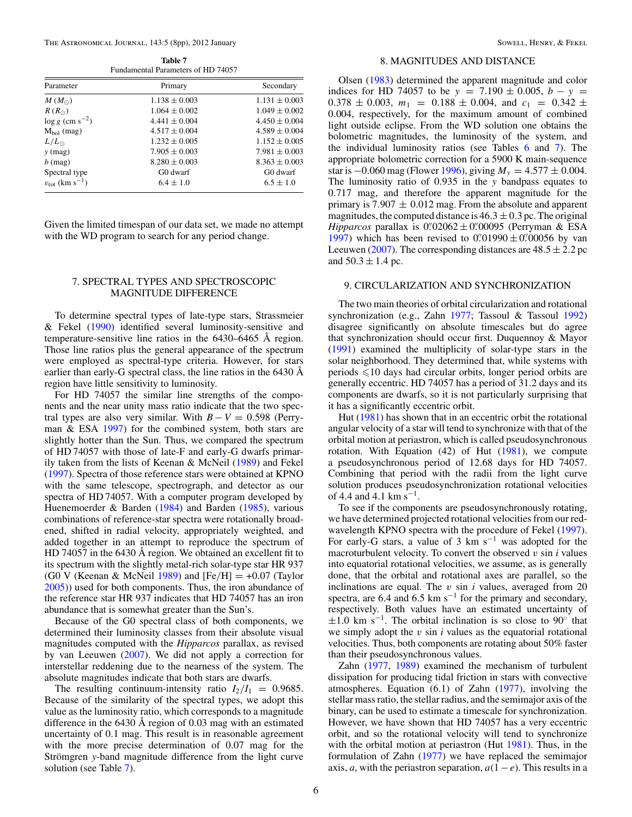<span id="page-6-0"></span>The Astronomical Journal, 143:5 (8pp), 2012 January Sowell, Henry, & Fekel Sowell, Henry, & Fekel

**Table 7** Fundamental Parameters of HD 74057

| Primary<br>Parameter                |                   | Secondary         |
|-------------------------------------|-------------------|-------------------|
| $M(M_{\odot})$                      | $1.138 \pm 0.003$ | $1.131 \pm 0.003$ |
| $R(R_{\odot})$                      | $1.064 \pm 0.002$ | $1.049 \pm 0.002$ |
| $\log g$ (cm s <sup>-2</sup> )      | $4.441 \pm 0.004$ | $4.450 \pm 0.004$ |
| $M_{bol}$ (mag)                     | $4.517 \pm 0.004$ | $4.589 \pm 0.004$ |
| $L/L_{\odot}$                       | $1.232 \pm 0.005$ | $1.152 \pm 0.005$ |
| $y$ (mag)                           | $7.905 \pm 0.003$ | $7.981 \pm 0.003$ |
| $b$ (mag)                           | $8.280 \pm 0.003$ | $8.363 \pm 0.003$ |
| Spectral type                       | G0 dwarf          | G0 dwarf          |
| $v_{\rm rot}$ (km s <sup>-1</sup> ) | $6.4 \pm 1.0$     | $6.5 \pm 1.0$     |

Given the limited timespan of our data set, we made no attempt with the WD program to search for any period change.

#### 7. SPECTRAL TYPES AND SPECTROSCOPIC MAGNITUDE DIFFERENCE

To determine spectral types of late-type stars, Strassmeier & Fekel [\(1990\)](#page-7-0) identified several luminosity-sensitive and temperature-sensitive line ratios in the 6430–6465 Å region. Those line ratios plus the general appearance of the spectrum were employed as spectral-type criteria. However, for stars earlier than early-G spectral class, the line ratios in the 6430 Å region have little sensitivity to luminosity.

For HD 74057 the similar line strengths of the components and the near unity mass ratio indicate that the two spectral types are also very similar. With  $B - V = 0.598$  (Perryman  $&$  ESA [1997\)](#page-7-0) for the combined system, both stars are slightly hotter than the Sun. Thus, we compared the spectrum of HD 74057 with those of late-F and early-G dwarfs primarily taken from the lists of Keenan & McNeil [\(1989\)](#page-7-0) and Fekel [\(1997\)](#page-7-0). Spectra of those reference stars were obtained at KPNO with the same telescope, spectrograph, and detector as our spectra of HD 74057. With a computer program developed by Huenemoerder & Barden [\(1984\)](#page-7-0) and Barden [\(1985\)](#page-7-0), various combinations of reference-star spectra were rotationally broadened, shifted in radial velocity, appropriately weighted, and added together in an attempt to reproduce the spectrum of HD 74057 in the 6430 Å region. We obtained an excellent fit to its spectrum with the slightly metal-rich solar-type star HR 937 (G0 V (Keenan & McNeil [1989\)](#page-7-0) and [Fe*/*H] = +0*.*07 (Taylor [2005\)](#page-7-0)) used for both components. Thus, the iron abundance of the reference star HR 937 indicates that HD 74057 has an iron abundance that is somewhat greater than the Sun's.

Because of the G0 spectral class of both components, we determined their luminosity classes from their absolute visual magnitudes computed with the *Hipparcos* parallax, as revised by van Leeuwen [\(2007\)](#page-8-0). We did not apply a correction for interstellar reddening due to the nearness of the system. The absolute magnitudes indicate that both stars are dwarfs.

The resulting continuum-intensity ratio  $I_2/I_1 = 0.9685$ . Because of the similarity of the spectral types, we adopt this value as the luminosity ratio, which corresponds to a magnitude difference in the 6430 Å region of 0*.*03 mag with an estimated uncertainty of 0*.*1 mag. This result is in reasonable agreement with the more precise determination of 0*.*07 mag for the Strömgren y-band magnitude difference from the light curve solution (see Table 7).

#### 8. MAGNITUDES AND DISTANCE

Olsen [\(1983\)](#page-7-0) determined the apparent magnitude and color indices for HD 74057 to be  $y = 7.190 \pm 0.005$ ,  $b - y =$  $0.378 \pm 0.003$ ,  $m_1 = 0.188 \pm 0.004$ , and  $c_1 = 0.342 \pm 0.004$ 0*.*004, respectively, for the maximum amount of combined light outside eclipse. From the WD solution one obtains the bolometric magnitudes, the luminosity of the system, and the individual luminosity ratios (see Tables [6](#page-5-0) and 7). The appropriate bolometric correction for a 5900 K main-sequence star is −0*.*060 mag (Flower [1996\)](#page-7-0), giving *My* = 4*.*577 ± 0*.*004. The luminosity ratio of 0*.*935 in the *y* bandpass equates to 0*.*717 mag, and therefore the apparent magnitude for the primary is  $7.907 \pm 0.012$  mag. From the absolute and apparent magnitudes, the computed distance is  $46.3 \pm 0.3$  pc. The original *Hipparcos* parallax is  $0.02062 \pm 0.00095$  (Perryman & ESA) [1997\)](#page-7-0) which has been revised to  $0''01990 \pm 0''00056$  by van Leeuwen [\(2007\)](#page-8-0). The corresponding distances are  $48.5 \pm 2.2$  pc and  $50.3 \pm 1.4$  pc.

#### 9. CIRCULARIZATION AND SYNCHRONIZATION

The two main theories of orbital circularization and rotational synchronization (e.g., Zahn [1977;](#page-8-0) Tassoul & Tassoul [1992\)](#page-7-0) disagree significantly on absolute timescales but do agree that synchronization should occur first. Duquennoy & Mayor [\(1991\)](#page-7-0) examined the multiplicity of solar-type stars in the solar neighborhood. They determined that, while systems with periods  $\leq 10$  days had circular orbits, longer period orbits are generally eccentric. HD 74057 has a period of 31*.*2 days and its components are dwarfs, so it is not particularly surprising that it has a significantly eccentric orbit.

Hut [\(1981\)](#page-7-0) has shown that in an eccentric orbit the rotational angular velocity of a star will tend to synchronize with that of the orbital motion at periastron, which is called pseudosynchronous rotation. With Equation  $(42)$  of Hut  $(1981)$ , we compute a pseudosynchronous period of 12*.*68 days for HD 74057. Combining that period with the radii from the light curve solution produces pseudosynchronization rotational velocities of 4.4 and 4.1 km s<sup> $-1$ </sup>.

To see if the components are pseudosynchronously rotating, we have determined projected rotational velocities from our redwavelength KPNO spectra with the procedure of Fekel [\(1997\)](#page-7-0). For early-G stars, a value of 3 km s<sup>-1</sup> was adopted for the macroturbulent velocity. To convert the observed  $v \sin i$  values into equatorial rotational velocities, we assume, as is generally done, that the orbital and rotational axes are parallel, so the inclinations are equal. The *v* sin *i* values, averaged from 20 spectra, are 6.4 and 6.5 km s<sup>−1</sup> for the primary and secondary, respectively. Both values have an estimated uncertainty of  $\pm 1.0$  km s<sup>-1</sup>. The orbital inclination is so close to 90<sup>°</sup> that we simply adopt the *v* sin *i* values as the equatorial rotational velocities. Thus, both components are rotating about 50% faster than their pseudosynchronous values.

Zahn [\(1977,](#page-8-0) [1989\)](#page-8-0) examined the mechanism of turbulent dissipation for producing tidal friction in stars with convective atmospheres. Equation (6.1) of Zahn [\(1977\)](#page-8-0), involving the stellar mass ratio, the stellar radius, and the semimajor axis of the binary, can be used to estimate a timescale for synchronization. However, we have shown that HD 74057 has a very eccentric orbit, and so the rotational velocity will tend to synchronize with the orbital motion at periastron (Hut [1981\)](#page-7-0). Thus, in the formulation of Zahn [\(1977\)](#page-8-0) we have replaced the semimajor axis, *a*, with the periastron separation,  $a(1-e)$ . This results in a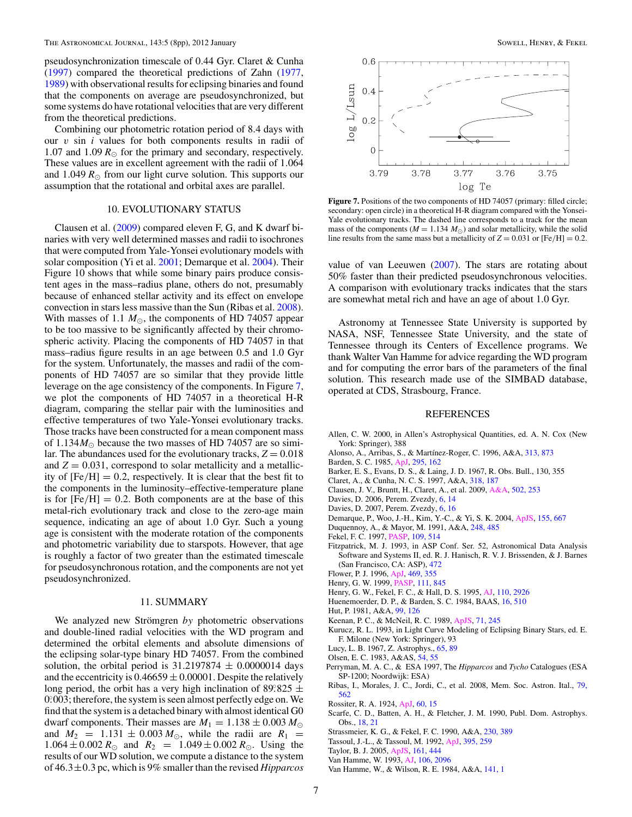<span id="page-7-0"></span>pseudosynchronization timescale of 0*.*44 Gyr. Claret & Cunha (1997) compared the theoretical predictions of Zahn [\(1977,](#page-8-0) [1989\)](#page-8-0) with observational results for eclipsing binaries and found that the components on average are pseudosynchronized, but some systems do have rotational velocities that are very different from the theoretical predictions.

Combining our photometric rotation period of 8*.*4 days with our *v* sin *i* values for both components results in radii of 1.07 and 1.09  $R_{\odot}$  for the primary and secondary, respectively. These values are in excellent agreement with the radii of 1*.*064 and 1.049  $R_{\odot}$  from our light curve solution. This supports our assumption that the rotational and orbital axes are parallel.

#### 10. EVOLUTIONARY STATUS

Clausen et al. (2009) compared eleven F, G, and K dwarf binaries with very well determined masses and radii to isochrones that were computed from Yale-Yonsei evolutionary models with solar composition (Yi et al. [2001;](#page-8-0) Demarque et al. 2004). Their Figure 10 shows that while some binary pairs produce consistent ages in the mass–radius plane, others do not, presumably because of enhanced stellar activity and its effect on envelope convection in stars less massive than the Sun (Ribas et al. 2008). With masses of 1.1  $M_{\odot}$ , the components of HD 74057 appear to be too massive to be significantly affected by their chromospheric activity. Placing the components of HD 74057 in that mass–radius figure results in an age between 0.5 and 1.0 Gyr for the system. Unfortunately, the masses and radii of the components of HD 74057 are so similar that they provide little leverage on the age consistency of the components. In Figure 7, we plot the components of HD 74057 in a theoretical H-R diagram, comparing the stellar pair with the luminosities and effective temperatures of two Yale-Yonsei evolutionary tracks. Those tracks have been constructed for a mean component mass of  $1.134M_{\odot}$  because the two masses of HD 74057 are so similar. The abundances used for the evolutionary tracks,  $Z = 0.018$ and  $Z = 0.031$ , correspond to solar metallicity and a metallicity of  $[Fe/H] = 0.2$ , respectively. It is clear that the best fit to the components in the luminosity–effective-temperature plane is for  $[Fe/H] = 0.2$ . Both components are at the base of this metal-rich evolutionary track and close to the zero-age main sequence, indicating an age of about 1*.*0 Gyr. Such a young age is consistent with the moderate rotation of the components and photometric variability due to starspots. However, that age is roughly a factor of two greater than the estimated timescale for pseudosynchronous rotation, and the components are not yet pseudosynchronized.

#### 11. SUMMARY

We analyzed new Strömgren by photometric observations and double-lined radial velocities with the WD program and determined the orbital elements and absolute dimensions of the eclipsing solar-type binary HD 74057. From the combined solution, the orbital period is  $31.2197874 \pm 0.0000014$  days and the eccentricity is  $0.46659 \pm 0.00001$ . Despite the relatively long period, the orbit has a very high inclination of 89°825  $\pm$ 0° 003; therefore, the system is seen almost perfectly edge on. We find that the system is a detached binary with almost identical G0 dwarf components. Their masses are  $M_1 = 1.138 \pm 0.003 M_{\odot}$ and  $M_2 = 1.131 \pm 0.003 M_{\odot}$ , while the radii are  $R_1 =$  $1.064 \pm 0.002 R_{\odot}$  and  $R_2 = 1.049 \pm 0.002 R_{\odot}$ . Using the results of our WD solution, we compute a distance to the system of 46*.*3±0*.*3 pc, which is 9% smaller than the revised *Hipparcos*



Figure 7. Positions of the two components of HD 74057 (primary: filled circle; secondary: open circle) in a theoretical H-R diagram compared with the Yonsei-Yale evolutionary tracks. The dashed line corresponds to a track for the mean mass of the components ( $M = 1.134 M_{\odot}$ ) and solar metallicity, while the solid line results from the same mass but a metallicity of  $Z = 0.031$  or  $[Fe/H] = 0.2$ .

value of van Leeuwen [\(2007\)](#page-8-0). The stars are rotating about 50% faster than their predicted pseudosynchronous velocities. A comparison with evolutionary tracks indicates that the stars are somewhat metal rich and have an age of about 1*.*0 Gyr.

Astronomy at Tennessee State University is supported by NASA, NSF, Tennessee State University, and the state of Tennessee through its Centers of Excellence programs. We thank Walter Van Hamme for advice regarding the WD program and for computing the error bars of the parameters of the final solution. This research made use of the SIMBAD database, operated at CDS, Strasbourg, France.

#### **REFERENCES**

- Allen, C. W. 2000, in Allen's Astrophysical Quantities, ed. A. N. Cox (New York: Springer), 388
- Alonso, A., Arribas, S., & Martínez-Roger, C. 1996, A&A, [313, 873](http://adsabs.harvard.edu/abs/1996A&A...313..873A)
- Barden, S. C. 1985, [ApJ,](http://dx.doi.org/10.1086/163361) [295, 162](http://adsabs.harvard.edu/abs/1985ApJ...295..162B)
- Barker, E. S., Evans, D. S., & Laing, J. D. 1967, R. Obs. Bull., 130, 355
- Claret, A., & Cunha, N. C. S. 1997, A&A, [318, 187](http://adsabs.harvard.edu/abs/1997A&A...318..187C)
- Clausen, J. V., Bruntt, H., Claret, A., et al. 2009, [A&A,](http://dx.doi.org/10.1051/0004-6361/200912362) [502, 253](http://adsabs.harvard.edu/abs/2009A&A...502..253C)
- Davies, D. 2006, Perem. Zvezdy, [6, 14](http://adsabs.harvard.edu/abs/2006PZP.....6...14D)
- Davies, D. 2007, Perem. Zvezdy, [6, 16](http://adsabs.harvard.edu/abs/2007PZP.....7...16D)
- Demarque, P., Woo, J.-H., Kim, Y.-C., & Yi, S. K. 2004, [ApJS,](http://dx.doi.org/10.1086/424966) [155, 667](http://adsabs.harvard.edu/abs/2004ApJS..155..667D)
- Duquennoy, A., & Mayor, M. 1991, A&A, [248, 485](http://adsabs.harvard.edu/abs/1991A&A...248..485D)
- Fekel, F. C. 1997, [PASP,](http://dx.doi.org/10.1086/133908) [109, 514](http://adsabs.harvard.edu/abs/1997PASP..109..514F)
- Fitzpatrick, M. J. 1993, in ASP Conf. Ser. 52, Astronomical Data Analysis Software and Systems II, ed. R. J. Hanisch, R. V. J. Brissenden, & J. Barnes (San Francisco, CA: ASP), [472](http://adsabs.harvard.edu/abs/1993ASPC...52..472F)
- Flower, P. J. 1996, [ApJ,](http://dx.doi.org/10.1086/177785) [469, 355](http://adsabs.harvard.edu/abs/1996ApJ...469..355F)
- Henry, G. W. 1999, [PASP,](http://dx.doi.org/10.1086/316388) [111, 845](http://adsabs.harvard.edu/abs/1999PASP..111..845H)
- Henry, G. W., Fekel, F. C., & Hall, D. S. 1995, [AJ,](http://dx.doi.org/10.1086/117740) [110, 2926](http://adsabs.harvard.edu/abs/1995AJ....110.2926H)
- Huenemoerder, D. P., & Barden, S. C. 1984, BAAS, [16, 510](http://adsabs.harvard.edu/abs/1984BAAS...16..510H)
- Hut, P. 1981, A&A, [99, 126](http://adsabs.harvard.edu/abs/1981A&A....99..126H)
- Keenan, P. C., & McNeil, R. C. 1989, [ApJS,](http://dx.doi.org/10.1086/191373) [71, 245](http://adsabs.harvard.edu/abs/1989ApJS...71..245K)
- Kurucz, R. L. 1993, in Light Curve Modeling of Eclipsing Binary Stars, ed. E. F. Milone (New York: Springer), 93
- Lucy, L. B. 1967, Z. Astrophys., [65, 89](http://adsabs.harvard.edu/abs/1967ZA.....65...89L)
- Olsen, E. C. 1983, A&AS, [54, 55](http://adsabs.harvard.edu/abs/1983A&AS...54...55O)
- Perryman, M. A. C., & ESA 1997, The *Hipparcos* and *Tycho* Catalogues (ESA SP-1200; Noordwijk: ESA)
- Ribas, I., Morales, J. C., Jordi, C., et al. 2008, Mem. Soc. Astron. Ital., [79,](http://adsabs.harvard.edu/abs/2008MmSAI..79..562R) [562](http://adsabs.harvard.edu/abs/2008MmSAI..79..562R)
- Rossiter, R. A. 1924, [ApJ,](http://dx.doi.org/10.1086/142825) [60, 15](http://adsabs.harvard.edu/abs/1924ApJ....60...15R)
- Scarfe, C. D., Batten, A. H., & Fletcher, J. M. 1990, Publ. Dom. Astrophys. Obs., [18, 21](http://adsabs.harvard.edu/abs/1990PDAO...18...21S)
- Strassmeier, K. G., & Fekel, F. C. 1990, A&A, [230, 389](http://adsabs.harvard.edu/abs/1990A&A...230..389S)
- Tassoul, J.-L., & Tassoul, M. 1992, [ApJ,](http://dx.doi.org/10.1086/171647) [395, 259](http://adsabs.harvard.edu/abs/1992ApJ...395..259T)
- Taylor, B. J. 2005, [ApJS,](http://dx.doi.org/10.1086/496885) [161, 444](http://adsabs.harvard.edu/abs/2005ApJS..161..444T)
- Van Hamme, W. 1993, [AJ,](http://dx.doi.org/10.1086/116788) [106, 2096](http://adsabs.harvard.edu/abs/1993AJ....106.2096V)
- Van Hamme, W., & Wilson, R. E. 1984, A&A, [141, 1](http://adsabs.harvard.edu/abs/1984A&A...141....1V)